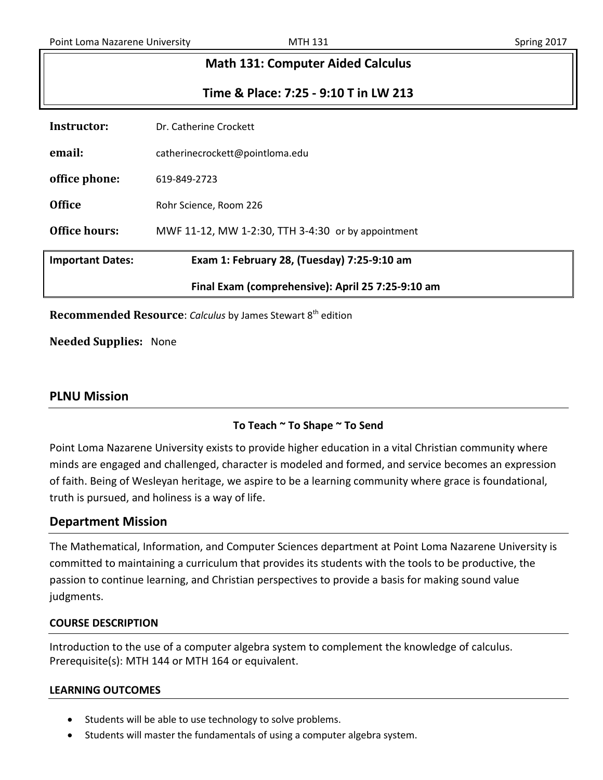| <b>Math 131: Computer Aided Calculus</b> |                                       |  |  |  |  |  |
|------------------------------------------|---------------------------------------|--|--|--|--|--|
|                                          | Time & Place: 7:25 - 9:10 T in LW 213 |  |  |  |  |  |
| Instructor:                              | Dr. Catherine Crockett                |  |  |  |  |  |
| email:                                   | catherinecrockett@pointloma.edu       |  |  |  |  |  |

**office phone:** 619-849-2723

**Office** Rohr Science, Room 226

**Office hours:** MWF 11-12, MW 1-2:30, TTH 3-4:30 or by appointment

**Important Dates: Exam 1: February 28, (Tuesday) 7:25-9:10 am**

### **Final Exam (comprehensive): April 25 7:25-9:10 am**

**Recommended Resource:** *Calculus* by James Stewart 8<sup>th</sup> edition

**Needed Supplies:** None

## **PLNU Mission**

## **To Teach ~ To Shape ~ To Send**

Point Loma Nazarene University exists to provide higher education in a vital Christian community where minds are engaged and challenged, character is modeled and formed, and service becomes an expression of faith. Being of Wesleyan heritage, we aspire to be a learning community where grace is foundational, truth is pursued, and holiness is a way of life.

## **Department Mission**

The Mathematical, Information, and Computer Sciences department at Point Loma Nazarene University is committed to maintaining a curriculum that provides its students with the tools to be productive, the passion to continue learning, and Christian perspectives to provide a basis for making sound value judgments.

### **COURSE DESCRIPTION**

Introduction to the use of a computer algebra system to complement the knowledge of calculus. Prerequisite(s): MTH 144 or MTH 164 or equivalent.

### **LEARNING OUTCOMES**

- Students will be able to use technology to solve problems.
- Students will master the fundamentals of using a computer algebra system.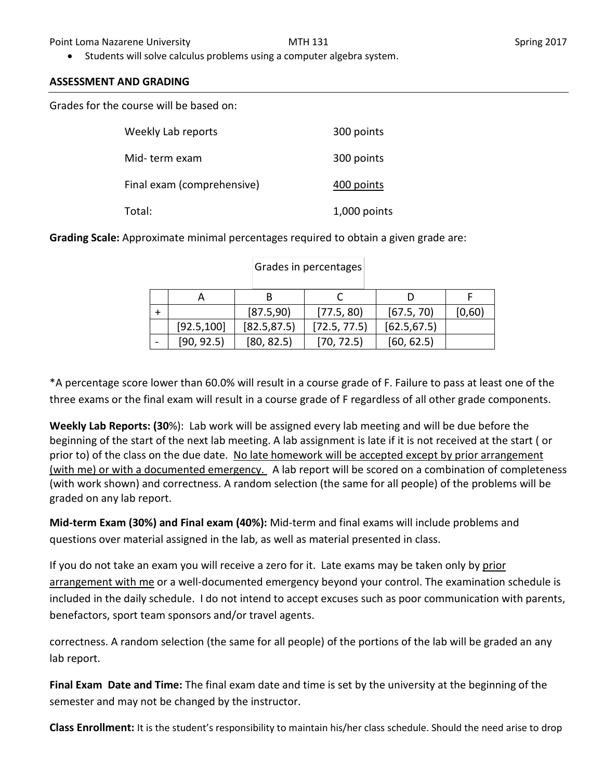• Students will solve calculus problems using a computer algebra system.

## **ASSESSMENT AND GRADING**

Grades for the course will be based on:

| Weekly Lab reports         | 300 points   |
|----------------------------|--------------|
| Mid-term exam              | 300 points   |
| Final exam (comprehensive) | 400 points   |
| Total:                     | 1,000 points |

**Grading Scale:** Approximate minimal percentages required to obtain a given grade are:

|             | [87.5,90]    | [77.5, 80]   | [67.5, 70]   | [0,60) |
|-------------|--------------|--------------|--------------|--------|
| [92.5, 100] | [82.5, 87.5] | [72.5, 77.5] | [62.5, 67.5] |        |
| [90, 92.5]  | [80, 82.5]   | [70, 72.5]   | [60, 62.5]   |        |

### Grades in percentages

\*A percentage score lower than 60.0% will result in a course grade of F. Failure to pass at least one of the three exams or the final exam will result in a course grade of F regardless of all other grade components.

**Weekly Lab Reports: (30**%): Lab work will be assigned every lab meeting and will be due before the beginning of the start of the next lab meeting. A lab assignment is late if it is not received at the start ( or prior to) of the class on the due date. No late homework will be accepted except by prior arrangement (with me) or with a documented emergency. A lab report will be scored on a combination of completeness (with work shown) and correctness. A random selection (the same for all people) of the problems will be graded on any lab report.

**Mid-term Exam (30%) and Final exam (40%):** Mid-term and final exams will include problems and questions over material assigned in the lab, as well as material presented in class.

If you do not take an exam you will receive a zero for it. Late exams may be taken only by prior arrangement with me or a well-documented emergency beyond your control. The examination schedule is included in the daily schedule. I do not intend to accept excuses such as poor communication with parents, benefactors, sport team sponsors and/or travel agents.

correctness. A random selection (the same for all people) of the portions of the lab will be graded an any lab report.

**Final Exam Date and Time:** The final exam date and time is set by the university at the beginning of the semester and may not be changed by the instructor.

**Class Enrollment:** It is the student's responsibility to maintain his/her class schedule. Should the need arise to drop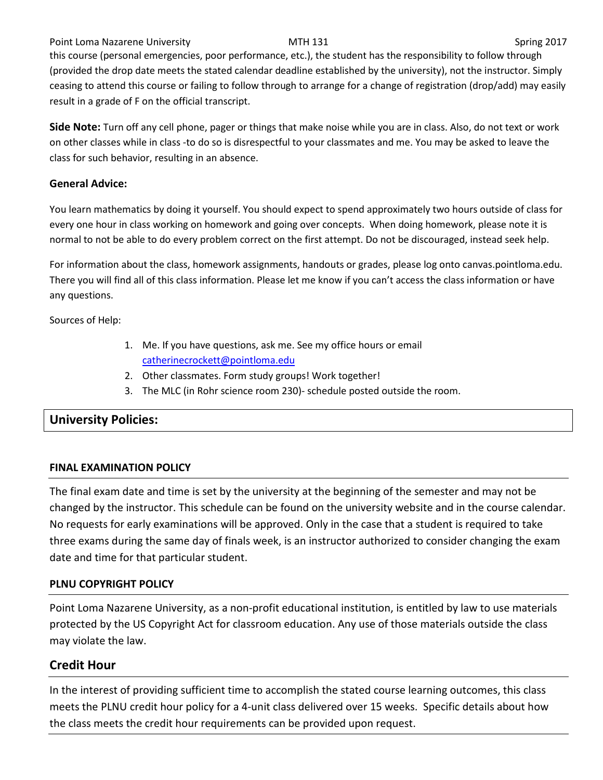Point Loma Nazarene University **MTH 131** MTH 131 Spring 2017 this course (personal emergencies, poor performance, etc.), the student has the responsibility to follow through (provided the drop date meets the stated calendar deadline established by the university), not the instructor. Simply ceasing to attend this course or failing to follow through to arrange for a change of registration (drop/add) may easily result in a grade of F on the official transcript.

**Side Note:** Turn off any cell phone, pager or things that make noise while you are in class. Also, do not text or work on other classes while in class -to do so is disrespectful to your classmates and me. You may be asked to leave the class for such behavior, resulting in an absence.

### **General Advice:**

You learn mathematics by doing it yourself. You should expect to spend approximately two hours outside of class for every one hour in class working on homework and going over concepts. When doing homework, please note it is normal to not be able to do every problem correct on the first attempt. Do not be discouraged, instead seek help.

For information about the class, homework assignments, handouts or grades, please log onto canvas.pointloma.edu. There you will find all of this class information. Please let me know if you can't access the class information or have any questions.

Sources of Help:

- 1. Me. If you have questions, ask me. See my office hours or email [catherinecrockett@pointloma.edu](mailto:catherinecrockett@pointloma.edu)
- 2. Other classmates. Form study groups! Work together!
- 3. The MLC (in Rohr science room 230)- schedule posted outside the room.

## **University Policies:**

### **FINAL EXAMINATION POLICY**

The final exam date and time is set by the university at the beginning of the semester and may not be changed by the instructor. This schedule can be found on the university website and in the course calendar. No requests for early examinations will be approved. Only in the case that a student is required to take three exams during the same day of finals week, is an instructor authorized to consider changing the exam date and time for that particular student.

## **PLNU COPYRIGHT POLICY**

Point Loma Nazarene University, as a non-profit educational institution, is entitled by law to use materials protected by the US Copyright Act for classroom education. Any use of those materials outside the class may violate the law.

# **Credit Hour**

In the interest of providing sufficient time to accomplish the stated course learning outcomes, this class meets the PLNU credit hour policy for a 4-unit class delivered over 15 weeks. Specific details about how the class meets the credit hour requirements can be provided upon request.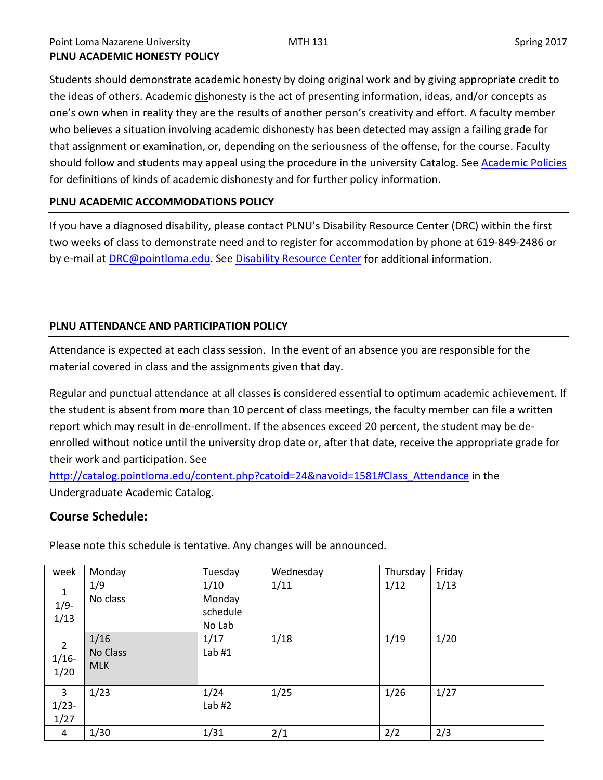Students should demonstrate academic honesty by doing original work and by giving appropriate credit to the ideas of others. Academic dishonesty is the act of presenting information, ideas, and/or concepts as one's own when in reality they are the results of another person's creativity and effort. A faculty member who believes a situation involving academic dishonesty has been detected may assign a failing grade for that assignment or examination, or, depending on the seriousness of the offense, for the course. Faculty should follow and students may appeal using the procedure in the university Catalog. Se[e Academic Policies](http://catalog.pointloma.edu/content.php?catoid=18&navoid=1278) for definitions of kinds of academic dishonesty and for further policy information.

### **PLNU ACADEMIC ACCOMMODATIONS POLICY**

If you have a diagnosed disability, please contact PLNU's Disability Resource Center (DRC) within the first two weeks of class to demonstrate need and to register for accommodation by phone at 619-849-2486 or by e-mail at **DRC@pointloma.edu.** See [Disability Resource Center](http://www.pointloma.edu/experience/offices/administrative-offices/academic-advising-office/disability-resource-center) for additional information.

### **PLNU ATTENDANCE AND PARTICIPATION POLICY**

Attendance is expected at each class session. In the event of an absence you are responsible for the material covered in class and the assignments given that day.

Regular and punctual attendance at all classes is considered essential to optimum academic achievement. If the student is absent from more than 10 percent of class meetings, the faculty member can file a written report which may result in de-enrollment. If the absences exceed 20 percent, the student may be deenrolled without notice until the university drop date or, after that date, receive the appropriate grade for their work and participation. See

[http://catalog.pointloma.edu/content.php?catoid=24&navoid=1581#Class\\_Attendance](http://catalog.pointloma.edu/content.php?catoid=24&navoid=1581#Class_Attendance) in the Undergraduate Academic Catalog.

## **Course Schedule:**

week Monday Tuesday Wednesday Thursday Friday 1 1/9- 1/13 1/9 No class 1/10 Monday schedule No Lab  $1/11$  1/12 1/13 2 1/16- 1/20 1/16 No Class MLK 1/17 Lab #1 1/18 1/19 1/20 3 1/23- 1/27  $1/23$  1/24 Lab  $#2$ 1/25 1/26 1/27 4 | 1/30 | 1/31 | 2/1 | 2/2 | 2/3

Please note this schedule is tentative. Any changes will be announced.